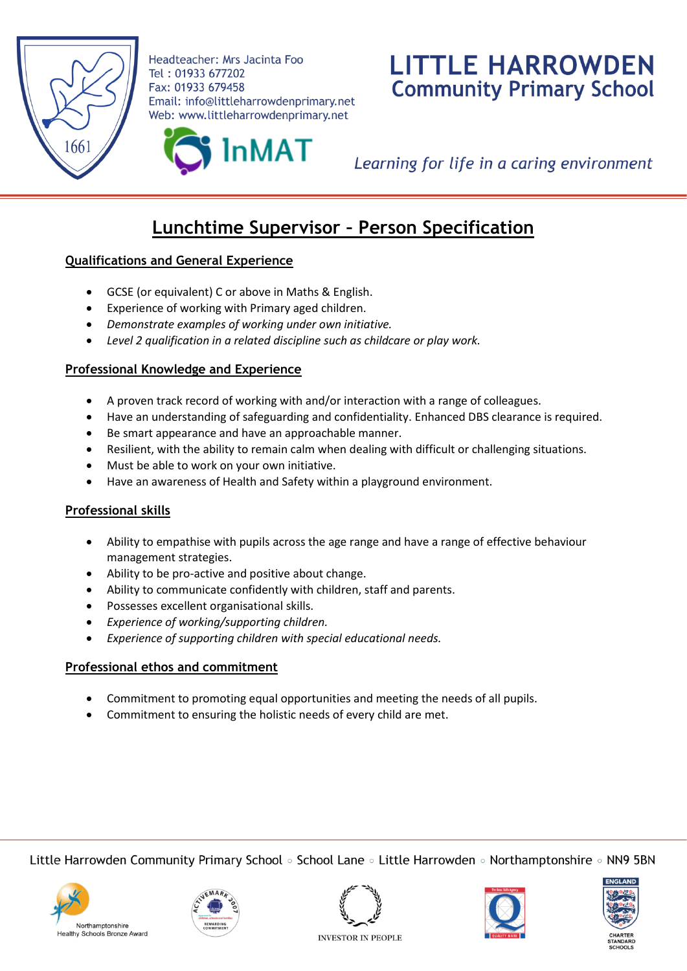

Headteacher: Mrs Jacinta Foo Tel: 01933 677202 Fax: 01933 679458 Email: info@littleharrowdenprimary.net Web: www.littleharrowdenprimary.net

# **LITTLE HARROWDEN Community Primary School**

InMAT

Learning for life in a caring environment

# **Lunchtime Supervisor – Person Specification**

# **Qualifications and General Experience**

- GCSE (or equivalent) C or above in Maths & English.
- Experience of working with Primary aged children.
- *Demonstrate examples of working under own initiative.*
- *Level 2 qualification in a related discipline such as childcare or play work.*

# **Professional Knowledge and Experience**

- A proven track record of working with and/or interaction with a range of colleagues.
- Have an understanding of safeguarding and confidentiality. Enhanced DBS clearance is required.
- Be smart appearance and have an approachable manner.
- Resilient, with the ability to remain calm when dealing with difficult or challenging situations.
- Must be able to work on your own initiative.
- Have an awareness of Health and Safety within a playground environment.

#### **Professional skills**

- Ability to empathise with pupils across the age range and have a range of effective behaviour management strategies.
- Ability to be pro-active and positive about change.
- Ability to communicate confidently with children, staff and parents.
- Possesses excellent organisational skills.
- *Experience of working/supporting children.*
- *Experience of supporting children with special educational needs.*

#### **Professional ethos and commitment**

- Commitment to promoting equal opportunities and meeting the needs of all pupils.
- Commitment to ensuring the holistic needs of every child are met.

Little Harrowden Community Primary School  $\circ$  School Lane  $\circ$  Little Harrowden  $\circ$  Northamptonshire  $\circ$  NN9 5BN











**INVESTOR IN PEOPLE**